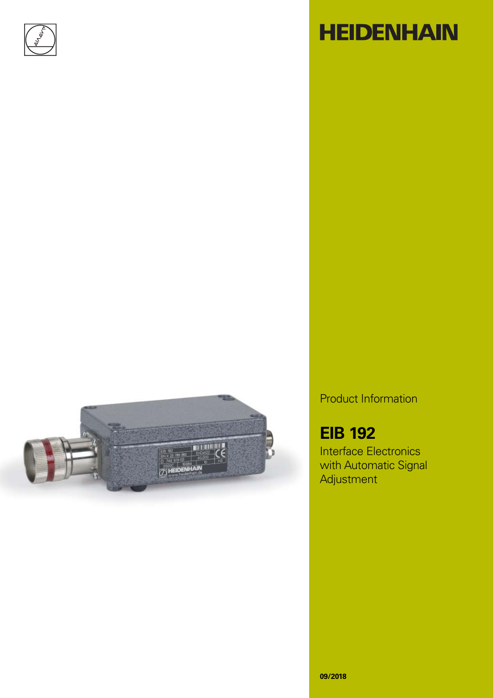

# **HEIDENHAIN**



Product Information

## **EIB 192**

Interface Electronics with Automatic Signal Adjustment

**09/2018**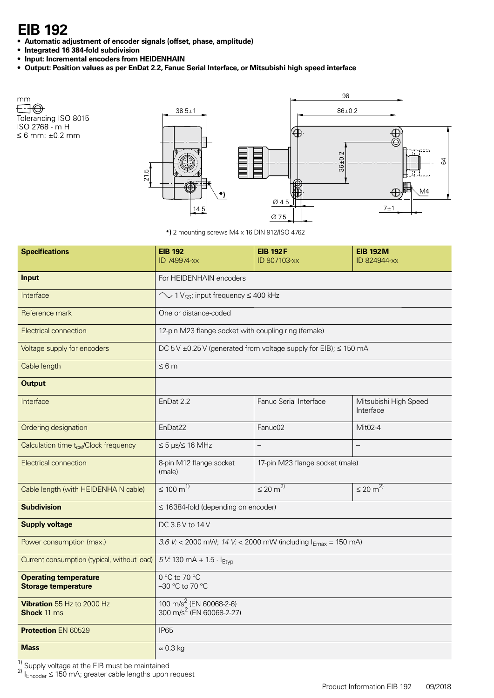### **EIB 192**

Tolerancing ISO 8015<br>ISO 2768 - m H

 $\leq 6$  mm:  $\pm 0.2$  mm

mm Ð⊕

- **Automatic adjustment of encoder signals (offset, phase, amplitude)**
- **Integrated 16 384-fold subdivision**
- **Input: Incremental encoders from HEIDENHAIN**
- **Output: Position values as per EnDat 2.2, Fanuc Serial Interface, or Mitsubishi high speed interface**



**\*)** 2 mounting screws M4 x 16 DIN 912/ISO 4762

| <b>Specifications</b>                                      | <b>EIB 192</b><br>ID 749974-xx                                              | <b>EIB 192F</b><br>ID 807103-xx          | <b>EIB 192M</b><br>ID 824944-xx    |  |  |  |  |
|------------------------------------------------------------|-----------------------------------------------------------------------------|------------------------------------------|------------------------------------|--|--|--|--|
| <b>Input</b>                                               | For HEIDENHAIN encoders                                                     |                                          |                                    |  |  |  |  |
| Interface                                                  | $\sim$ 1 Vss; input frequency $\leq$ 400 kHz                                |                                          |                                    |  |  |  |  |
| Reference mark                                             | One or distance-coded                                                       |                                          |                                    |  |  |  |  |
| Electrical connection                                      | 12-pin M23 flange socket with coupling ring (female)                        |                                          |                                    |  |  |  |  |
| Voltage supply for encoders                                | DC 5V $\pm$ 0.25V (generated from voltage supply for EIB); $\leq$ 150 mA    |                                          |                                    |  |  |  |  |
| Cable length                                               | $\leq 6m$                                                                   |                                          |                                    |  |  |  |  |
| <b>Output</b>                                              |                                                                             |                                          |                                    |  |  |  |  |
| Interface                                                  | EnDat 2.2                                                                   | Fanuc Serial Interface                   | Mitsubishi High Speed<br>Interface |  |  |  |  |
| Ordering designation                                       | EnDat22                                                                     | Fanuc02                                  | Mit02-4                            |  |  |  |  |
| Calculation time t <sub>cal</sub> /Clock frequency         | $\leq 5$ µs/ $\leq 16$ MHz                                                  | $\overline{\phantom{0}}$                 |                                    |  |  |  |  |
| <b>Electrical connection</b>                               | 8-pin M12 flange socket<br>(male)                                           | 17-pin M23 flange socket (male)          |                                    |  |  |  |  |
| Cable length (with HEIDENHAIN cable)                       | $\leq 100 \text{ m}^{1}$                                                    | $\leq 20 \text{ m}^{2}$                  | $\leq 20 \text{ m}^{2}$            |  |  |  |  |
| <b>Subdivision</b>                                         |                                                                             | $\leq$ 16384-fold (depending on encoder) |                                    |  |  |  |  |
| <b>Supply voltage</b>                                      | DC 3.6 V to 14 V                                                            |                                          |                                    |  |  |  |  |
| Power consumption (max.)                                   | 3.6 V: < 2000 mW; 14 V: < 2000 mW (including $I_{Emax}$ = 150 mA)           |                                          |                                    |  |  |  |  |
| Current consumption (typical, without load)                | 5 V: 130 mA + 1.5 $\cdot$ I <sub>Etvp</sub>                                 |                                          |                                    |  |  |  |  |
| <b>Operating temperature</b><br><b>Storage temperature</b> | $0^{\circ}$ C to 70 $^{\circ}$ C<br>-30 °C to 70 °C                         |                                          |                                    |  |  |  |  |
| Vibration 55 Hz to 2000 Hz<br><b>Shock</b> 11 ms           | 100 m/s <sup>2</sup> (EN 60068-2-6)<br>300 m/s <sup>2</sup> (EN 60068-2-27) |                                          |                                    |  |  |  |  |
| <b>Protection EN 60529</b>                                 | <b>IP65</b>                                                                 |                                          |                                    |  |  |  |  |
| <b>Mass</b>                                                | $\approx 0.3$ kg                                                            |                                          |                                    |  |  |  |  |

 $\frac{1}{2}$  Supply voltage at the EIB must be maintained

 $^{2)}$  I<sub>Encoder</sub>  $\leq$  150 mA; greater cable lengths upon request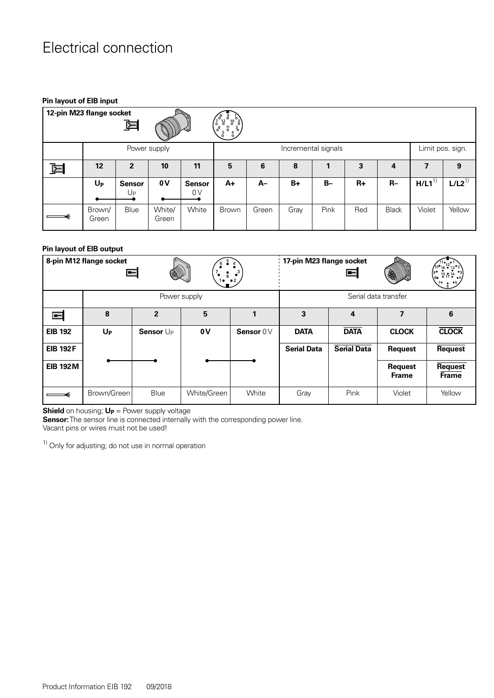### Electrical connection

#### **Pin layout of EIB input**

| 12-pin M23 flange socket<br>$\circ$<br>$\circ$<br>$\begin{pmatrix} 10^{6} \ 3 \ 4 \ 0 \end{pmatrix}$<br>$\frac{12}{6}$<br>Ŧ<br>$\mathfrak{l}_{\circ}^{\circ}$<br>$\frac{5}{6}$ <sup>11</sup> |                 |                     |                 |                     |                     |       |      |       |      |                  |            |            |
|----------------------------------------------------------------------------------------------------------------------------------------------------------------------------------------------|-----------------|---------------------|-----------------|---------------------|---------------------|-------|------|-------|------|------------------|------------|------------|
|                                                                                                                                                                                              | Power supply    |                     |                 |                     | Incremental signals |       |      |       |      | Limit pos. sign. |            |            |
| 뇐                                                                                                                                                                                            | 12 <sup>2</sup> | 2                   | 10              | 11                  | 5                   | 6     | 8    |       | 3    | 4                | 7          | 9          |
|                                                                                                                                                                                              | $U_{P}$         | <b>Sensor</b><br>Up | 0V              | <b>Sensor</b><br>0V | A+                  | $A-$  | $B+$ | $B -$ | $R+$ | $R-$             | $H/L1^{1}$ | $L/L2^{1}$ |
|                                                                                                                                                                                              | Brown/<br>Green | Blue                | White/<br>Green | White               | Brown               | Green | Gray | Pink  | Red  | <b>Black</b>     | Violet     | Yellow     |

#### **Pin layout of EIB output**

|                 | 8-pin M12 flange socket<br>⊫ |                       | $\frac{1}{8}$<br>$\bullet$ 2<br>ه 1 | 17-pin M23 flange socket | $\blacksquare$     | E                  | $\frac{15}{9}$ 17 $\frac{14}{9}$ |                                |
|-----------------|------------------------------|-----------------------|-------------------------------------|--------------------------|--------------------|--------------------|----------------------------------|--------------------------------|
|                 |                              |                       | Power supply                        | Serial data transfer     |                    |                    |                                  |                                |
| $\blacksquare$  | 8                            | $\overline{2}$        | 5                                   | 1                        | 3                  | 4                  | 7                                | 6                              |
| <b>EIB 192</b>  | $U_{P}$                      | Sensor U <sub>P</sub> | 0 V                                 | Sensor 0 V               | <b>DATA</b>        | <b>DATA</b>        | <b>CLOCK</b>                     | <b>CLOCK</b>                   |
| <b>EIB 192F</b> |                              |                       |                                     |                          | <b>Serial Data</b> | <b>Serial Data</b> | <b>Request</b>                   | <b>Request</b>                 |
| <b>EIB 192M</b> |                              |                       |                                     |                          |                    |                    | <b>Request</b><br><b>Frame</b>   | <b>Request</b><br><b>Frame</b> |
|                 | Brown/Green                  | Blue                  | White/Green                         | White                    | Gray               | Pink               | Violet                           | Yellow                         |

**Shield** on housing; **U<sub>P</sub>** = Power supply voltage

**Sensor:** The sensor line is connected internally with the corresponding power line.

Vacant pins or wires must not be used!

 $1)$  Only for adjusting; do not use in normal operation